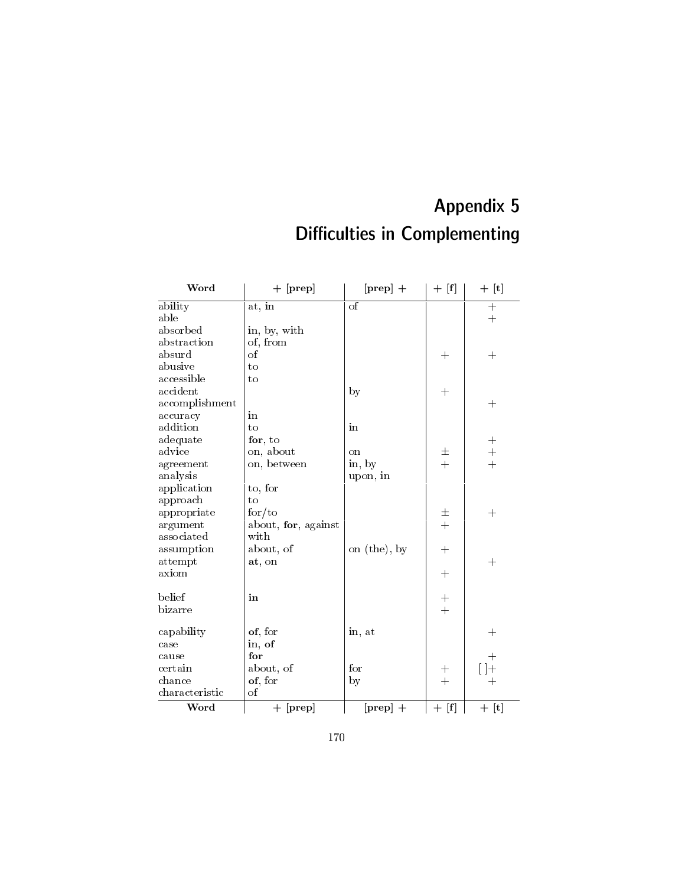## Appendix 5 Difficulties in Complementing

| Word           | $+$ [prep]          | $[prep] +$   | $+$ [f]            | $+$ [t]    |
|----------------|---------------------|--------------|--------------------|------------|
| ability        | at, in              | $\sigma$     |                    | $+$        |
| able           |                     |              |                    | $+$        |
| absorbed       | in, by, with        |              |                    |            |
| abstraction    | of, from            |              |                    |            |
| absurd         | of                  |              | $^{+}$             | $^{+}$     |
| abusive        | $t_{0}$             |              |                    |            |
| accessible     | to                  |              |                    |            |
| accident       |                     | by           | $^{+}$             |            |
| accomplishment |                     |              |                    | $^{+}$     |
| accuracy       | in                  |              |                    |            |
| addition       | to                  | in           |                    |            |
| adequate       | for, to             |              |                    | $+$        |
| advice         | on, about           | on           | 土                  | $+$<br>$+$ |
| agreement      | on, between         | in, by       | $\ddot{+}$         |            |
| analysis       |                     | upon, in     |                    |            |
| application    | to, for             |              |                    |            |
| approach       | to                  |              |                    |            |
| appropriate    | for/to              |              | 士                  | $^{+}$     |
| argument       | about, for, against |              | $+$                |            |
| associated     | with                |              |                    |            |
| assumption     | about, of           | on (the), by | $+$                |            |
| attempt        | at, on              |              |                    | $^{+}$     |
| axiom          |                     |              | $+$                |            |
| belief         | in                  |              | $\hspace{0.1mm} +$ |            |
| bizarre        |                     |              | $\ddot{}$          |            |
|                |                     |              |                    |            |
| capability     | of, for             | in, at       |                    | $^{+}$     |
| case           | in, of              |              |                    |            |
| cause          | for                 |              |                    | $^{+}$     |
| certain        | about, of           | for          | $\pm$              | $[ \ ] +$  |
| chance         | of, for             | by           | $+$                | $^{+}$     |
| characteristic | $\sigma$            |              |                    |            |
| Word           | $+$ [prep]          | $[prep] +$   | $+$ [f]            | $+$ [t]    |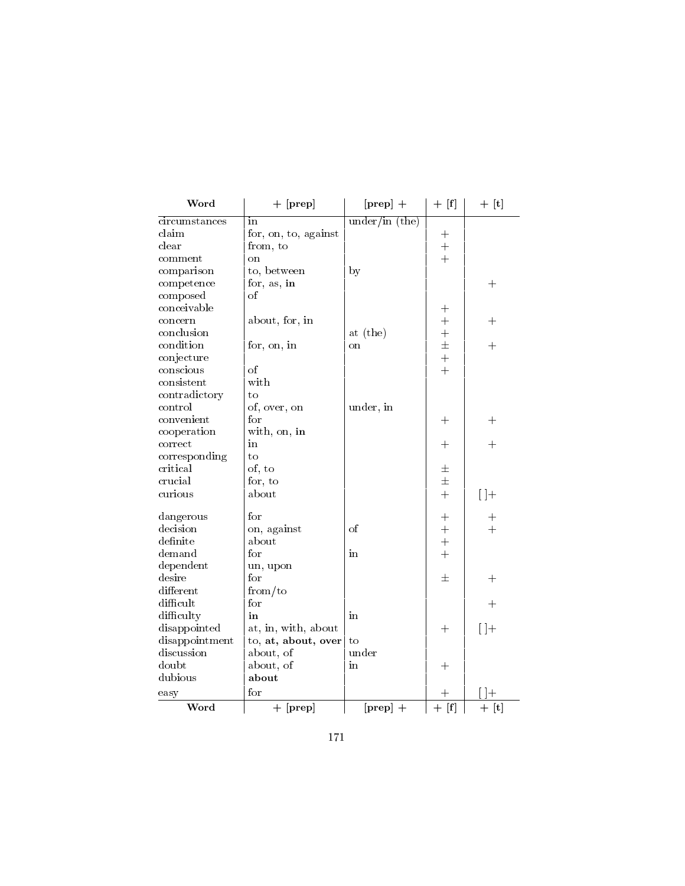| Word           | $+$ [prep]           | $[prep] +$     | $+$ [f]        | $+$ [t]      |
|----------------|----------------------|----------------|----------------|--------------|
| circumstances  | in                   | under/in (the) |                |              |
| claim          | for, on, to, against |                | $\mathrm{+}$   |              |
| clear          | from, to             |                | $+$            |              |
| comment        | <sub>on</sub>        |                | $+$            |              |
| comparison     | to, between          | by             |                |              |
| competence     | for, as, in          |                |                | $^{+}$       |
| composed       | οf                   |                |                |              |
| conceivable    |                      |                | $\mathrm{+}$   |              |
| concern        | about, for, in       |                | $\ddot{+}$     | $^{+}$       |
| conclusion     |                      | at (the)       | $\ddot{}$      |              |
| condition      | for, on, in          | on             | $\pm$          | $^{+}$       |
| conjecture     |                      |                | $\ddot{+}$     |              |
| conscious      | of                   |                | $\ddot{+}$     |              |
| consistent     | with                 |                |                |              |
| contradictory  | to                   |                |                |              |
| control        | of, over, on         | under, in      |                |              |
| convenient     | for                  |                | $\mathrm{+}$   | $\mathrm{+}$ |
| cooperation    | with, on, in         |                |                |              |
| correct        | in                   |                | $\pm$          | $\pm$        |
| corresponding  | to                   |                |                |              |
| critical       | of, to               |                | 士              |              |
| crucial        | for, to              |                | $\pm$          |              |
| curious        | about                |                | $+$            | $[$ $]+$     |
| dangerous      | $_{\rm for}$         |                | $^{+}$         | $\mathrm{+}$ |
| decision       | on, against          | <sub>of</sub>  | $+$            | $+$          |
| definite       | about                |                | $\ddot{+}$     |              |
| demand         | for                  | in             | $\ddot{+}$     |              |
| dependent      | un, upon             |                |                |              |
| desire         | for                  |                | 士              | $^{+}$       |
| different      | from/to              |                |                |              |
| difficult      | $_{\rm for}$         |                |                | $\mathrm{+}$ |
| difficulty     | in                   | in             |                |              |
| disappointed   | at, in, with, about  |                | $\mathrm{+}$   | $[ \ ]+$     |
| disappointment | to, at, about, over  | to             |                |              |
| discussion     | about, of            | under          |                |              |
| doubt          | about, of            | in             | $^{+}$         |              |
| dubious        | about                |                |                |              |
| easy           | $_{\rm for}$         |                | $\overline{+}$ | $\Box +$     |
| Word           | $+$ [prep]           | $[prep] +$     | $+$ [f]        | $+$ [t]      |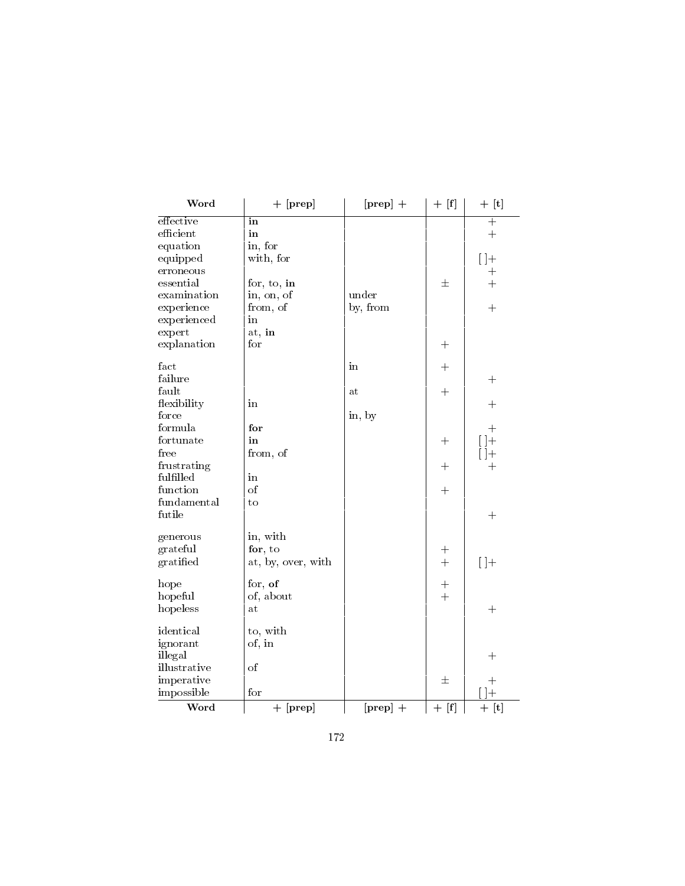| Word         | $+$ [prep]         | $[prep] +$ | $+$ [f]      | $+$ [t]            |
|--------------|--------------------|------------|--------------|--------------------|
| effective    | in                 |            |              | $+$                |
| efficient    | in                 |            |              | $+$                |
| equation     | in, for            |            |              |                    |
| equipped     | with, for          |            |              | $[ \ ]+$           |
| erroneous    |                    |            |              | $\overline{+}$     |
| essential    | for, to, in        |            | 士            | $\ddot{}$          |
| examination  | in, on, of         | under      |              |                    |
| experience   | from, of           | by, from   |              | $+$                |
| experienced  | in                 |            |              |                    |
| expert       | at, in             |            |              |                    |
| explanation  | for                |            | $\pm$        |                    |
| fact         |                    | in         | $+$          |                    |
| failure      |                    |            |              | $\pm$              |
| fault        |                    | at         | $\pm$        |                    |
| flexibility  | in                 |            |              | $\pm$              |
| force        |                    | in, by     |              |                    |
| formula      | for                |            |              | $^{+}$             |
| fortunate    | in                 |            | $\mathrm{+}$ | $+$                |
| free         | from, of           |            |              | $+$                |
| frustrating  |                    |            | $+$          | $\overline{+}$     |
| fulfilled    | in                 |            |              |                    |
| function     | <sub>of</sub>      |            | $+$          |                    |
| fundamental  | to                 |            |              |                    |
| futile       |                    |            |              | $+$                |
| generous     | in, with           |            |              |                    |
| grateful     | for, to            |            | $+$          |                    |
| gratified    | at, by, over, with |            | $+$          | $[$ $]+$           |
| hope         | for, of            |            | $+$          |                    |
| hopeful      | of, about          |            | $+$          |                    |
| hopeless     | at                 |            |              | $^{+}$             |
| identical    | to, with           |            |              |                    |
| ignorant     | of, in             |            |              |                    |
| illegal      |                    |            |              | $\hspace{0.1mm} +$ |
| illustrative | of                 |            |              |                    |
| imperative   |                    |            | 士            | $+$                |
| impossible   | for                |            |              | $]+$               |
| Word         | $+$ [prep]         | $[prep] +$ | $+$ [f]      | $+$ [t]            |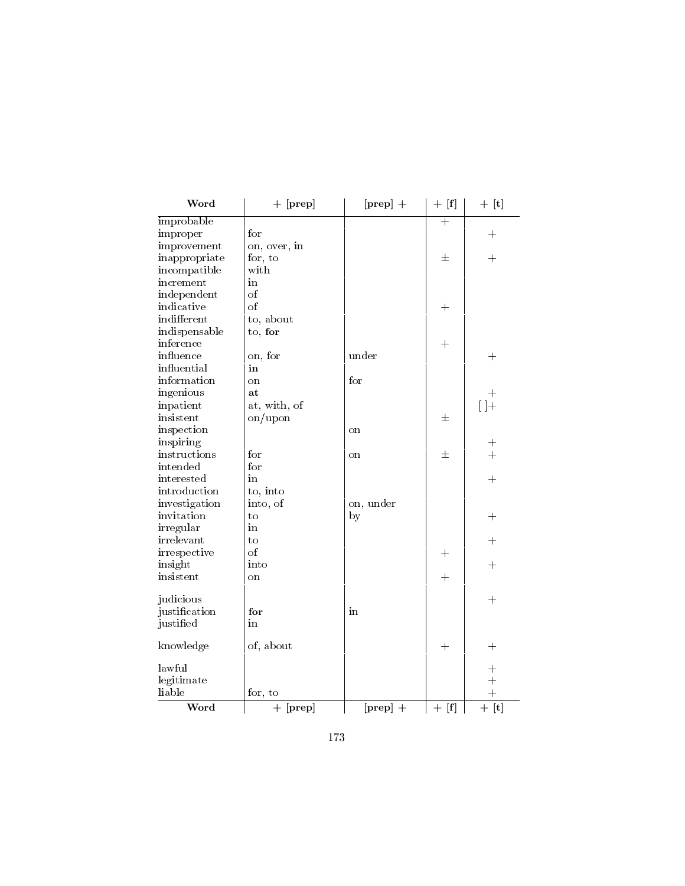| Word          | $+$ [prep]    | $[prep] +$    | $+$ [f]            | $+$ [t]            |
|---------------|---------------|---------------|--------------------|--------------------|
| improbable    |               |               | $\overline{+}$     |                    |
| improper      | for           |               |                    | $^{+}$             |
| improvement   | on, over, in  |               |                    |                    |
| inappropriate | for, to       |               | 士                  | $\hspace{0.1mm} +$ |
| incompatible  | with          |               |                    |                    |
| increment     | in            |               |                    |                    |
| independent   | <sub>of</sub> |               |                    |                    |
| indicative    | of            |               | $\hspace{0.1mm} +$ |                    |
| indifferent   | to, about     |               |                    |                    |
| indispensable | to, for       |               |                    |                    |
| inference     |               |               | $^{+}$             |                    |
| influence     | on, for       | under         |                    | $\hspace{0.1mm} +$ |
| influential   | in            |               |                    |                    |
| information   | on            | for           |                    |                    |
| ingenious     | at            |               |                    | $\hspace{0.1mm} +$ |
| inpatient     | at, with, of  |               |                    | $[ \ ]+$           |
| insistent     | on/upon       |               | 士                  |                    |
| inspection    |               | <sub>on</sub> |                    |                    |
| inspiring     |               |               |                    | $\hspace{0.1mm} +$ |
| instructions  | for           | on            | 士                  | $\ddot{}$          |
| intended      | for           |               |                    |                    |
| interested    | in            |               |                    | $^{+}$             |
| introduction  | to, into      |               |                    |                    |
| investigation | into, of      | on, under     |                    |                    |
| invitation    | $\rm{to}$     | by            |                    | $+$                |
| irregular     | in            |               |                    |                    |
| irrelevant    | to            |               |                    | $^{+}$             |
| irrespective  | of            |               | $\hspace{0.1mm} +$ |                    |
| insight       | into          |               |                    | $^{+}$             |
| insistent     | on            |               | $+$                |                    |
| judicious     |               |               |                    | $^{+}$             |
| justification | for           | in            |                    |                    |
| justified     | in            |               |                    |                    |
| knowledge     | of, about     |               | $^{+}$             | $\hspace{0.1mm} +$ |
| lawful        |               |               |                    | $\hspace{0.1mm} +$ |
| legitimate    |               |               |                    | $+$                |
| liable        | for, to       |               |                    | $+$                |
| Word          | $+$ [prep]    | $[prep] +$    | $+$ [f]            | $+$ [t]            |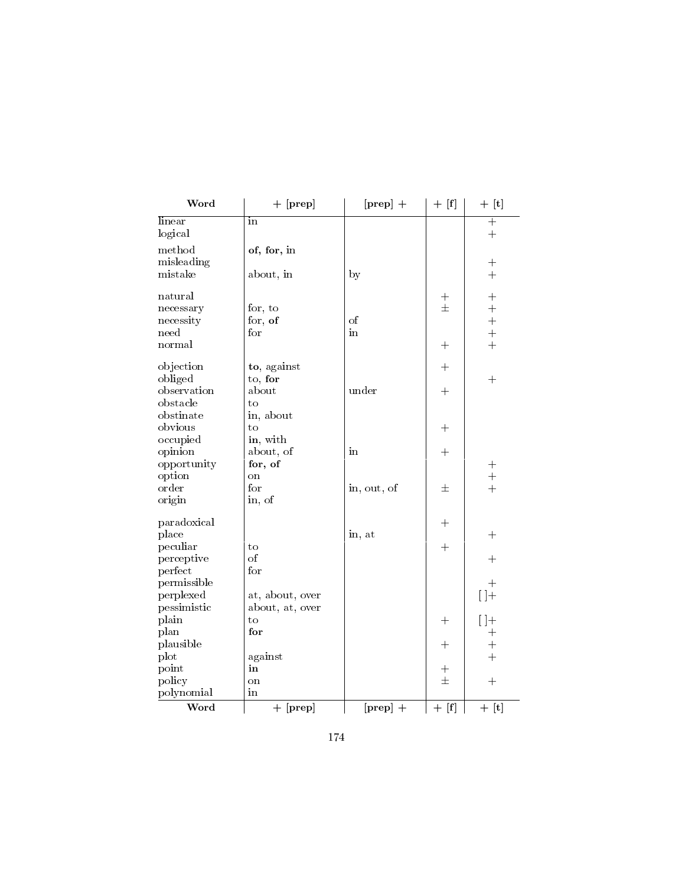| Word              | $+$ [prep]      | $[prep] +$  | $+$ [f]      | $+$ [t]           |
|-------------------|-----------------|-------------|--------------|-------------------|
| linear<br>logical | in              |             |              | $+$<br>$\ddot{}$  |
| method            | of, for, in     |             |              |                   |
| misleading        |                 |             |              | $+$               |
| mistake           | about, in       | by          |              | $+$               |
| natural           |                 |             | $+$          | $+$               |
| necessary         | for, to         |             | $\pm$        | $\ddot{}$         |
| necessity         | for, $of$       | $\sigma$    |              | $\ddot{}$         |
| need              | $f_{\rm O}r$    | in          |              | $\ddot{}$         |
| normal            |                 |             | $+$          | $\ddot{+}$        |
| objection         | to, against     |             | $^{+}$       |                   |
| obliged           | to, for         |             |              | $\boldsymbol{+}$  |
| observation       | about           | under       | $+$          |                   |
| obstacle          | to              |             |              |                   |
| obstinate         | in, about       |             |              |                   |
| obvious           | to              |             | $+$          |                   |
| occupied          | in, with        |             |              |                   |
| opinion           | about, of       | in          | $^{+}$       |                   |
| opportunity       | for, of         |             |              |                   |
| option            | <sub>on</sub>   |             |              | $+$               |
| order             | for             | in, out, of | 士            | $+$               |
| origin            | in, of          |             |              |                   |
| paradoxical       |                 |             | $+$          |                   |
| place             |                 | in, at      |              | $+$               |
| peculiar          | to              |             | $+$          |                   |
| perceptive        | <sub>of</sub>   |             |              | $+$               |
| perfect           | for             |             |              |                   |
| permissible       |                 |             |              | $+$               |
| perplexed         | at, about, over |             |              | $[$ $]+$          |
| pessimistic       | about, at, over |             |              |                   |
| plain             | to              |             | $+$          | $\lceil \rceil +$ |
| plan              | for             |             |              | $+$               |
| plausible         |                 |             | $\mathrm{+}$ | $+$               |
| plot              | against         |             |              | $+$               |
| point             | in              |             | $^{+}$       |                   |
| policy            | on              |             | $\pm$        | $+$               |
| polynomial        | in              |             |              |                   |
| Word              | $+$ [prep]      | $[prep] +$  | $+$ [f]      | $+$ [t]           |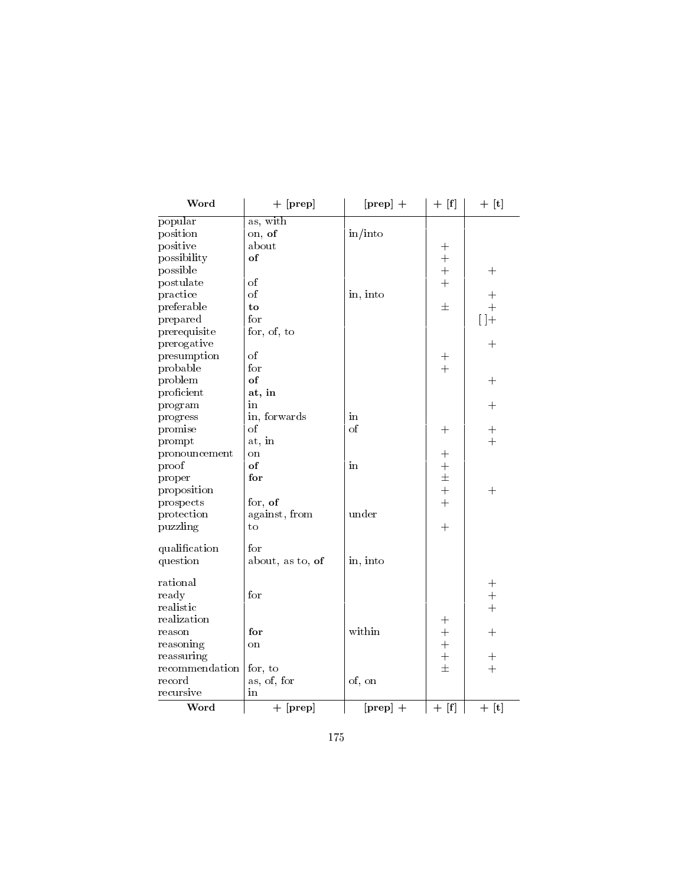| Word           | $+$ [prep]       | $[prep] +$                    | $+$ [f]        | $+$ [t]                          |
|----------------|------------------|-------------------------------|----------------|----------------------------------|
| popular        | as, with         |                               |                |                                  |
| position       | on, of           | $\frac{\text{in}}{\text{in}}$ |                |                                  |
| positive       | about            |                               | $\mathrm{+}$   |                                  |
| possibility    | of               |                               | $\overline{+}$ |                                  |
| possible       |                  |                               | $\ddot{}$      | $\hspace{0.1mm} +$               |
| postulate      | οf               |                               | $\ddot{}$      |                                  |
| practice       | $\sigma$         | in, into                      |                | $\hspace{0.1mm} +$               |
| preferable     | to               |                               | 士              | $+$                              |
| prepared       | $_{\rm for}$     |                               |                | $[$ $]+$                         |
| prerequisite   | for, of, to      |                               |                |                                  |
| prerogative    |                  |                               |                | $\hspace{0.1mm} +\hspace{0.1mm}$ |
| presumption    | of               |                               | $^{+}$         |                                  |
| probable       | for              |                               | $\ddot{}$      |                                  |
| problem        | of               |                               |                | $\pm$                            |
| proficient     | at, in           |                               |                |                                  |
| program        | in               |                               |                | $^{+}$                           |
| progress       | in, forwards     | in                            |                |                                  |
| promise        | οf               | of                            | $\mathrm{+}$   | $\hspace{0.1mm} +$               |
| prompt         | at, in           |                               |                | $\ddot{}$                        |
| pronouncement  | on               |                               | $+$            |                                  |
| proof          | of               | in                            | $+$            |                                  |
| proper         | for              |                               | $\pm$          |                                  |
| proposition    |                  |                               | $\ddot{+}$     | $+$                              |
| prospects      | for, of          |                               | $\ddot{+}$     |                                  |
| protection     | against, from    | under                         |                |                                  |
| puzzling       | to               |                               | $+$            |                                  |
| qualification  | for              |                               |                |                                  |
| question       | about, as to, of | in, into                      |                |                                  |
| rational       |                  |                               |                | $+$                              |
| ready          | for              |                               |                | $+$                              |
| realistic      |                  |                               |                | $+$                              |
| realization    |                  |                               | $^{+}$         |                                  |
| reason         | for              | within                        | $+$            | $^{+}$                           |
| reasoning      | on               |                               | $\ddot{+}$     |                                  |
| reassuring     |                  |                               | $\ddot{}$      | $+$                              |
| recommendation | for, to          |                               | $\pm$          | $+$                              |
| record         | as, of, for      | of, on                        |                |                                  |
| recursive      | in               |                               |                |                                  |
| Word           | $+$ [prep]       | $[prep] +$                    | $+$ [f]        | $+$ [t]                          |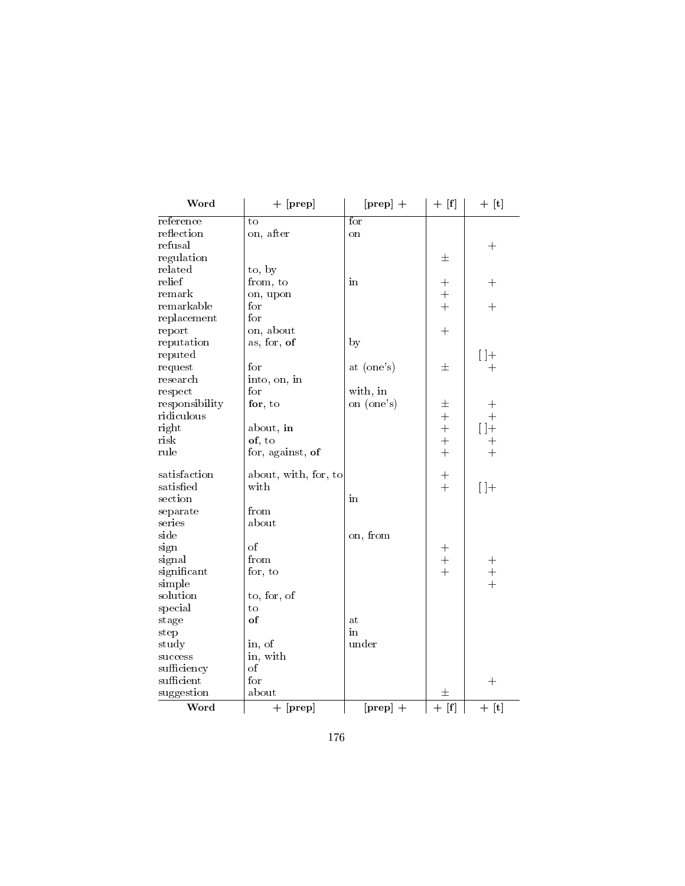| Word           | $+$ [prep]           | $[prep] +$ | $+$ [f]    | $+$ [t]      |
|----------------|----------------------|------------|------------|--------------|
| reference      | to                   | for        |            |              |
| reflection     | on, after            | on         |            |              |
| refusal        |                      |            |            | $^{+}$       |
| regulation     |                      |            | 士          |              |
| related        | to, by               |            |            |              |
| relief         | from, to             | in         | $^{+}$     | $^{+}$       |
| remark         | on, upon             |            | $+$        |              |
| remarkable     | for                  |            | $+$        | $\mathrm{+}$ |
| replacement    | for                  |            |            |              |
| report         | on, about            |            | $+$        |              |
| reputation     | as, for, of          | by         |            |              |
| reputed        |                      |            |            | $[ \ ]+$     |
| request        | for                  | at (one's) | 士          | $\mathrm{+}$ |
| research       | into, on, in         |            |            |              |
| respect        | for                  | with, in   |            |              |
| responsibility | for, $to$            | on (one's) | 士          | $\mathrm{+}$ |
| ridiculous     |                      |            | $+$        | $+$          |
|                |                      |            | $\ddot{}$  |              |
| right<br>risk  | about, in            |            | $\ddot{}$  | $[ \ ] +$    |
| rule           | of, to               |            | $\ddot{+}$ | $^{+}$       |
|                | for, against, of     |            |            | $+$          |
| satisfaction   | about, with, for, to |            | $+$        |              |
| satisfied      | with                 |            | $+$        | $[ \ ]+$     |
| section        |                      | in         |            |              |
| separate       | from                 |            |            |              |
| series         | about                |            |            |              |
| side           |                      | on, from   |            |              |
| sign           | $\alpha$ f           |            | $+$        |              |
| signal         | from                 |            | $+$        | $\, +$       |
| significant    | for, to              |            | $\ddot{}$  | $\ddot{+}$   |
| simple         |                      |            |            | $\ddot{}$    |
| solution       | to, for, of          |            |            |              |
| special        | to                   |            |            |              |
| stage          | of                   | at         |            |              |
| step           |                      | in         |            |              |
| study          | in, of               | under      |            |              |
| success        | in, with             |            |            |              |
| sufficiency    | $\sigma$             |            |            |              |
| sufficient     | for                  |            |            |              |
|                | about                |            |            | $^{+}$       |
| suggestion     |                      |            | 士          |              |
| Word           | $+$ [prep]           | $[prep] +$ | $+$ [f]    | $+$ [t]      |